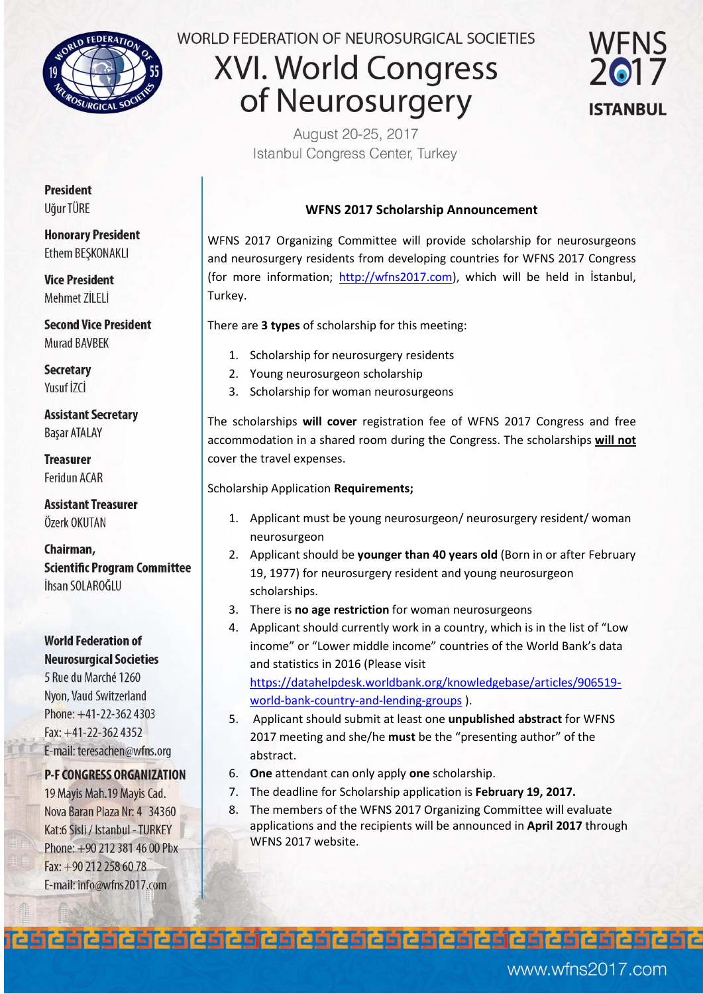

## WORLD FEDERATION OF NEUROSURGICAL SOCIETIES

# **XVI. World Congress** of Neurosurgery



August 20-25, 2017 Istanbul Congress Center, Turkey

### **WFNS 2017 Scholarship Announcement**

WFNS 2017 Organizing Committee will provide scholarship for neurosurgeons and neurosurgery residents from developing countries for WFNS 2017 Congress (for more information; [http://wfns2017.com\)](http://wfns2017.com/), which will be held in İstanbul, Turkey.

There are **3 types** of scholarship for this meeting:

- 1. Scholarship for neurosurgery residents
- 2. Young neurosurgeon scholarship
- 3. Scholarship for woman neurosurgeons

The scholarships **will cover** registration fee of WFNS 2017 Congress and free accommodation in a shared room during the Congress. The scholarships **will not** cover the travel expenses.

#### Scholarship Application **Requirements;**

- 1. Applicant must be young neurosurgeon/ neurosurgery resident/ woman neurosurgeon
- 2. Applicant should be **younger than 40 years old** (Born in or after February 19, 1977) for neurosurgery resident and young neurosurgeon scholarships.
- 3. There is **no age restriction** for woman neurosurgeons
- 4. Applicant should currently work in a country, which is in the list of "Low income" or "Lower middle income" countries of the World Bank's data and statistics in 2016 (Please visit [https://datahelpdesk.worldbank.org/knowledgebase/articles/906519](https://datahelpdesk.worldbank.org/knowledgebase/articles/906519-world-bank-country-and-lending-groups) [world-bank-country-and-lending-groups \)](https://datahelpdesk.worldbank.org/knowledgebase/articles/906519-world-bank-country-and-lending-groups).
- 5. Applicant should submit at least one **unpublished abstract** for WFNS 2017 meeting and she/he **must** be the "presenting author" of the abstract.
- 6. **One** attendant can only apply **one** scholarship.

- 7. The deadline for Scholarship application is **February 19, 2017.**
- 8. The members of the WFNS 2017 Organizing Committee will evaluate applications and the recipients will be announced in **April 2017** through WFNS 2017 website.

**President** Uğur TÜRE

**Honorary President Ethem BESKONAKLI** 

**Vice President** Mehmet ZİLELİ

**Second Vice President Murad BAVBEK** 

**Secretary** Yusuf İZCİ

**Assistant Secretary Basar ATALAY** 

**Treasurer** Feridun ACAR

**Assistant Treasurer** Özerk OKUTAN

Chairman, **Scientific Program Committee** İhsan SOLAROĞLU

**World Federation of Neurosurgical Societies** 

5 Rue du Marché 1260 Nyon, Vaud Switzerland Phone: +41-22-362 4303 Fax: +41-22-362 4352 E-mail: teresachen@wfns.org

### **P-F CONGRESS ORGANIZATION**

19 Mayis Mah.19 Mayis Cad. Nova Baran Plaza Nr: 4 34360 Kat:6 Sisli / Istanbul - TURKEY Phone: +90 212 381 46 00 Pbx Fax:  $+90\,212\,258\,60\,78$ E-mail: info@wfns2017.com

www.wfns2017.com